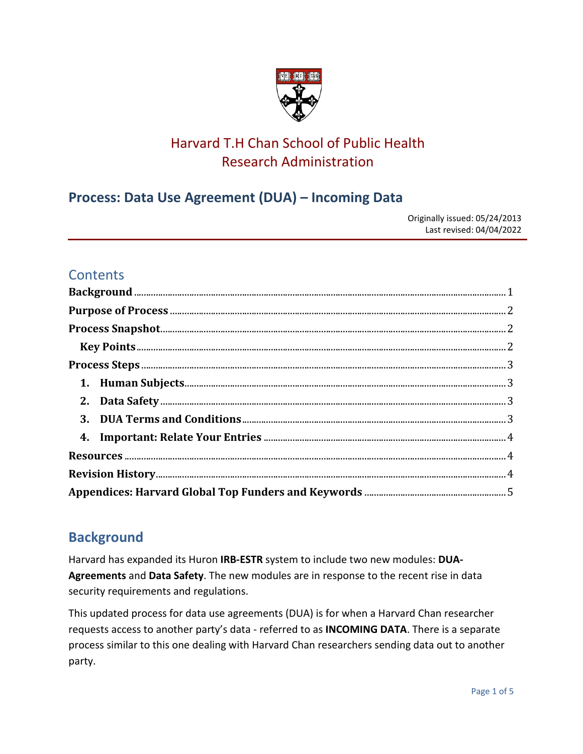

# Harvard T.H Chan School of Public Health Research Administration

## **Process: Data Use Agreement (DUA) – Incoming Data**

Originally issued: 05/24/2013 Last revised: 04/04/2022

### **Contents**

## <span id="page-0-0"></span>**Background**

Harvard has expanded its Huron **IRB-ESTR** system to include two new modules: **DUA-Agreements** and **Data Safety**. The new modules are in response to the recent rise in data security requirements and regulations.

This updated process for data use agreements (DUA) is for when a Harvard Chan researcher requests access to another party's data - referred to as **INCOMING DATA**. There is a separate process similar to this one dealing with Harvard Chan researchers sending data out to another party.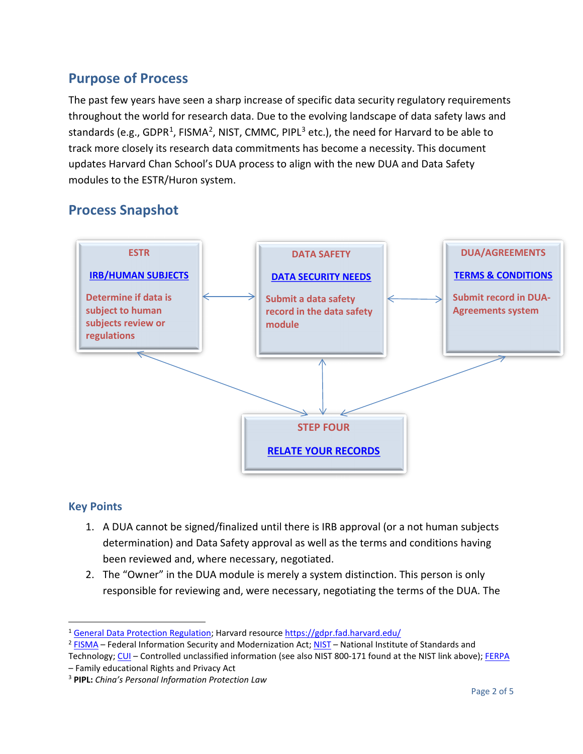## <span id="page-1-0"></span>**Purpose of Process**

The past few years have seen a sharp increase of specific data security regulatory requirements throughout the world for research data. Due to the evolving landscape of data safety laws and standards (e.g., GDPR<sup>[1](#page-1-3)</sup>, FISMA<sup>2</sup>, NIST, CMMC, PIPL<sup>[3](#page-1-5)</sup> etc.), the need for Harvard to be able to track more closely its research data commitments has become a necessity. This document updates Harvard Chan School's DUA process to align with the new DUA and Data Safety modules to the ESTR/Huron system.

## <span id="page-1-1"></span>**Process Snapshot**



### <span id="page-1-2"></span>**Key Points**

- 1. A DUA cannot be signed/finalized until there is IRB approval (or a not human subjects determination) and Data Safety approval as well as the terms and conditions having been reviewed and, where necessary, negotiated.
- 2. The "Owner" in the DUA module is merely a system distinction. This person is only responsible for reviewing and, were necessary, negotiating the terms of the DUA. The

<span id="page-1-3"></span><sup>1</sup> [General Data Protection Regulation;](https://gdpr.eu/) Harvard resourc[e https://gdpr.fad.harvard.edu/](https://gdpr.fad.harvard.edu/)

<span id="page-1-4"></span> $2$  [FISMA](https://www.cisa.gov/federal-information-security-modernization-act) – Federal Information Security and Modernization Act[; NIST](https://csrc.nist.gov/publications/detail/sp/800-171/rev-2/final) – National Institute of Standards and

Technology[; CUI](https://www.archives.gov/cui/about) – Controlled unclassified information (see also NIST 800-171 found at the NIST link above)[; FERPA](https://www2.ed.gov/policy/gen/guid/fpco/ferpa/index.html)

<sup>–</sup> Family educational Rights and Privacy Act

<span id="page-1-5"></span><sup>3</sup> **PIPL:** *China's Personal Information Protection Law*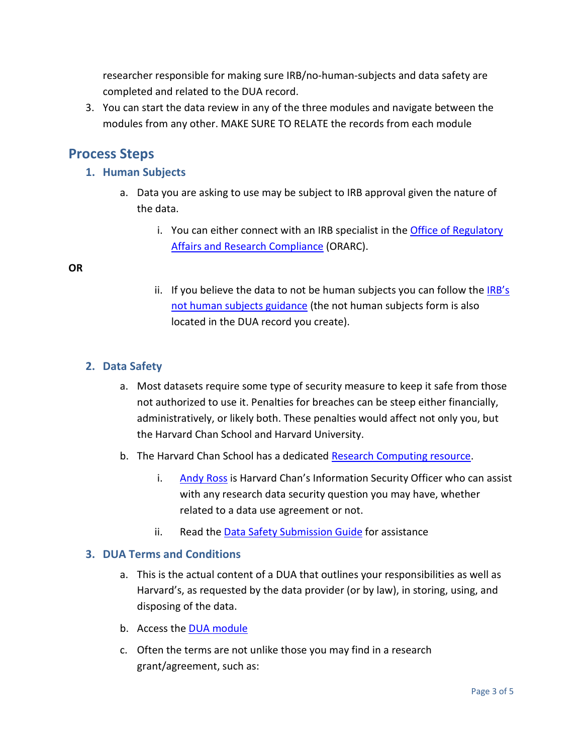researcher responsible for making sure IRB/no-human-subjects and data safety are completed and related to the DUA record.

3. You can start the data review in any of the three modules and navigate between the modules from any other. MAKE SURE TO RELATE the records from each module

### <span id="page-2-1"></span><span id="page-2-0"></span>**Process Steps**

### **1. Human Subjects**

- a. Data you are asking to use may be subject to IRB approval given the nature of the data.
	- i. You can either connect with an IRB specialist in the Office of Regulatory [Affairs and Research Compliance](https://www.hsph.harvard.edu/regulatory-affairs-and-research-compliance/irb-decision-tool/) (ORARC).

#### **OR**

ii. If you believe the data to not be human subjects you can follow the  $IRB's$ [not human subjects guidance](https://www.hsph.harvard.edu/regulatory-affairs-and-research-compliance/irb-decision-tool/) (the not human subjects form is also located in the DUA record you create).

### <span id="page-2-2"></span>**2. Data Safety**

- a. Most datasets require some type of security measure to keep it safe from those not authorized to use it. Penalties for breaches can be steep either financially, administratively, or likely both. These penalties would affect not only you, but the Harvard Chan School and Harvard University.
- b. The Harvard Chan School has a dedicated [Research Computing resource.](https://www.hsph.harvard.edu/research-computing)
	- i. [Andy Ross](mailto:aross@hsph.harvard.edu) is Harvard Chan's Information Security Officer who can assist with any research data security question you may have, whether related to a data use agreement or not.
	- ii. Read the [Data Safety Submission Guide](https://researchsafety.harvard.edu/Data/sd/Doc/0/56EC0ASJSEJKJA55P6O60FOR13/safety_submission_guide.pdf) for assistance

#### <span id="page-2-3"></span>**3. DUA Terms and Conditions**

- a. This is the actual content of a DUA that outlines your responsibilities as well as Harvard's, as requested by the data provider (or by law), in storing, using, and disposing of the data.
- b. Access the [DUA module](https://ras.fss.harvard.edu/agreements)
- c. Often the terms are not unlike those you may find in a research grant/agreement, such as: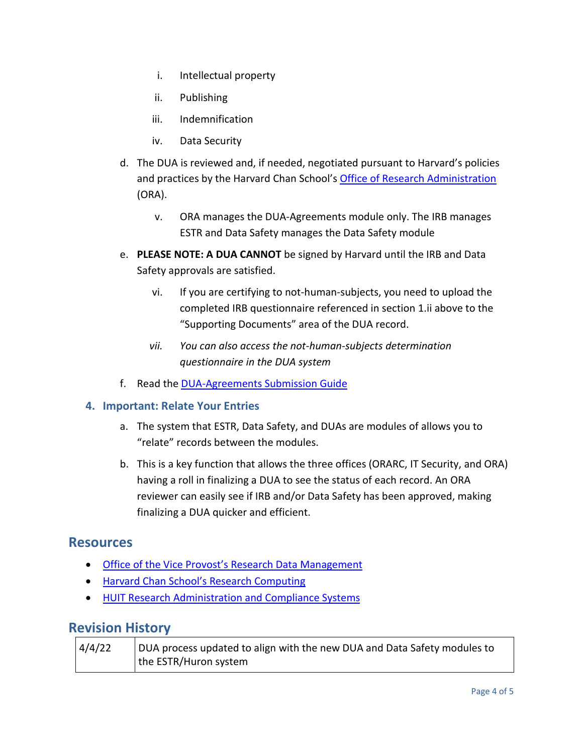- i. Intellectual property
- ii. Publishing
- iii. Indemnification
- iv. Data Security
- d. The DUA is reviewed and, if needed, negotiated pursuant to Harvard's policies and practices by the Harvard Chan School's [Office of Research Administration](https://hcsra.sph.harvard.edu/) (ORA).
	- v. ORA manages the DUA-Agreements module only. The IRB manages ESTR and Data Safety manages the Data Safety module
- e. **PLEASE NOTE: A DUA CANNOT** be signed by Harvard until the IRB and Data Safety approvals are satisfied.
	- vi. If you are certifying to not-human-subjects, you need to upload the completed IRB questionnaire referenced in section 1.ii above to the "Supporting Documents" area of the DUA record.
	- *vii. You can also access the not-human-subjects determination questionnaire in the DUA system*
- f. Read the [DUA-Agreements Submission Guide](https://ras.fss.harvard.edu/files/ras/files/dua_agreement_submission_guide.pdf)

### <span id="page-3-0"></span>**4. Important: Relate Your Entries**

- a. The system that ESTR, Data Safety, and DUAs are modules of allows you to "relate" records between the modules.
- b. This is a key function that allows the three offices (ORARC, IT Security, and ORA) having a roll in finalizing a DUA to see the status of each record. An ORA reviewer can easily see if IRB and/or Data Safety has been approved, making finalizing a DUA quicker and efficient.

### <span id="page-3-1"></span>**Resources**

- [Office of the Vice Provost's Research](https://research.harvard.edu/2020/06/26/research-data-management/) Data Management
- [Harvard Chan School's](https://www.hsph.harvard.edu/research-computing/data-security-information/) Research Computing
- [HUIT Research Administration and Compliance Systems](https://ras.fss.harvard.edu/agreements)

### <span id="page-3-2"></span>**Revision History**

| 4/4/22 | DUA process updated to align with the new DUA and Data Safety modules to |
|--------|--------------------------------------------------------------------------|
|        | the ESTR/Huron system                                                    |